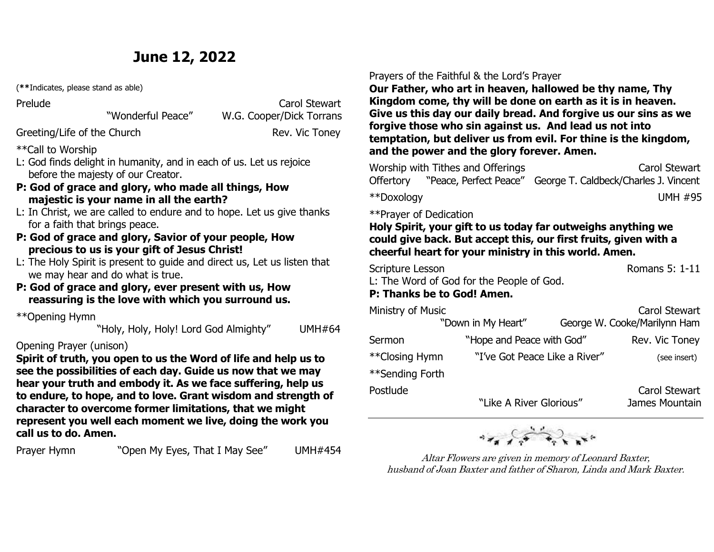## **June 12, 2022**

(**\*\***Indicates, please stand as able)

Prelude **Carol Stewart** "Wonderful Peace" W.G. Cooper/Dick Torrans

### Greeting/Life of the Church Rev. Vic Toney

\*\*Call to Worship

- L: God finds delight in humanity, and in each of us. Let us rejoice before the majesty of our Creator.
- **P: God of grace and glory, who made all things, How majestic is your name in all the earth?**
- L: In Christ, we are called to endure and to hope. Let us give thanks for a faith that brings peace.
- **P: God of grace and glory, Savior of your people, How precious to us is your gift of Jesus Christ!**
- L: The Holy Spirit is present to guide and direct us, Let us listen that we may hear and do what is true.
- **P: God of grace and glory, ever present with us, How reassuring is the love with which you surround us.**

\*\*Opening Hymn

"Holy, Holy, Holy! Lord God Almighty" UMH#64

### Opening Prayer (unison)

**Spirit of truth, you open to us the Word of life and help us to see the possibilities of each day. Guide us now that we may hear your truth and embody it. As we face suffering, help us to endure, to hope, and to love. Grant wisdom and strength of character to overcome former limitations, that we might represent you well each moment we live, doing the work you call us to do. Amen.**

"Open My Eyes, That I May See" UMH#454 Prayer Hymn

### Prayers of the Faithful & the Lord's Prayer

**Our Father, who art in heaven, hallowed be thy name, Thy Kingdom come, thy will be done on earth as it is in heaven. Give us this day our daily bread. And forgive us our sins as we forgive those who sin against us. And lead us not into temptation, but deliver us from evil. For thine is the kingdom, and the power and the glory forever. Amen.**

| Worship with Tithes and Offerings |  | <b>Carol Stewart</b>                                                           |
|-----------------------------------|--|--------------------------------------------------------------------------------|
|                                   |  | Offertory       "Peace, Perfect Peace"   George T. Caldbeck/Charles J. Vincent |
| **Doxology                        |  | <b>UMH #95</b>                                                                 |

\*\*Prayer of Dedication

### **Holy Spirit, your gift to us today far outweighs anything we could give back. But accept this, our first fruits, given with a cheerful heart for your ministry in this world. Amen.**

Scripture Lesson **Romans 5: 1-11** 

L: The Word of God for the People of God.

### **P: Thanks be to God! Amen.**

| Ministry of Music | "Down in My Heart"        |                               | Carol Stewart<br>George W. Cooke/Marilynn Ham |
|-------------------|---------------------------|-------------------------------|-----------------------------------------------|
| Sermon            | "Hope and Peace with God" |                               | Rev. Vic Toney                                |
| **Closing Hymn    |                           | "I've Got Peace Like a River" |                                               |
| **Sending Forth   |                           |                               |                                               |
| Postlude          | "Like A River Glorious"   |                               | Carol Stewart<br>James Mountain               |



Altar Flowers are given in memory of Leonard Baxter, husband of Joan Baxter and father of Sharon, Linda and Mark Baxter.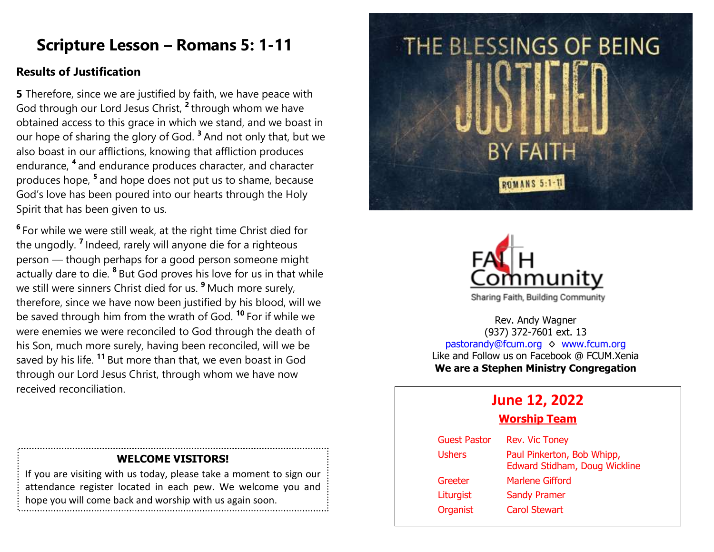## **Scripture Lesson – Romans 5: 1-11**

### **Results of Justification**

**5** Therefore, since we are justified by faith, we have peace with God through our Lord Jesus Christ, **<sup>2</sup>** through whom we have obtained access to this grace in which we stand, and we boast in our hope of sharing the glory of God. **<sup>3</sup>** And not only that, but we also boast in our afflictions, knowing that affliction produces endurance, **<sup>4</sup>** and endurance produces character, and character produces hope, **<sup>5</sup>** and hope does not put us to shame, because God's love has been poured into our hearts through the Holy Spirit that has been given to us.

**6** For while we were still weak, at the right time Christ died for the ungodly. **<sup>7</sup>** Indeed, rarely will anyone die for a righteous person — though perhaps for a good person someone might actually dare to die. **<sup>8</sup>** But God proves his love for us in that while we still were sinners Christ died for us. **<sup>9</sup>** Much more surely, therefore, since we have now been justified by his blood, will we be saved through him from the wrath of God. **<sup>10</sup>** For if while we were enemies we were reconciled to God through the death of his Son, much more surely, having been reconciled, will we be saved by his life. **<sup>11</sup>** But more than that, we even boast in God through our Lord Jesus Christ, through whom we have now received reconciliation.

# THE BLESSINGS OF BEING **BY FAITH ROMANS 5:1-1**



Rev. Andy Wagner (937) 372-7601 ext. 13 [pastorandy@fcum.org](mailto:pastorandy@fcum.org) ♦ [www.fcum.org](http://www.fcum.org/) Like and Follow us on Facebook @ FCUM.Xenia **We are a Stephen Ministry Congregation**

## **June 12, 2022**

### **Worship Team**

| <b>Guest Pastor</b> | <b>Rev. Vic Toney</b>                                       |
|---------------------|-------------------------------------------------------------|
| <b>Ushers</b>       | Paul Pinkerton, Bob Whipp,<br>Edward Stidham, Doug Wickline |
| Greeter             | <b>Marlene Gifford</b>                                      |
| Liturgist           | <b>Sandy Pramer</b>                                         |
| <b>Organist</b>     | <b>Carol Stewart</b>                                        |

### **WELCOME VISITORS!**

If you are visiting with us today, please take a moment to sign our attendance register located in each pew. We welcome you and hope you will come back and worship with us again soon.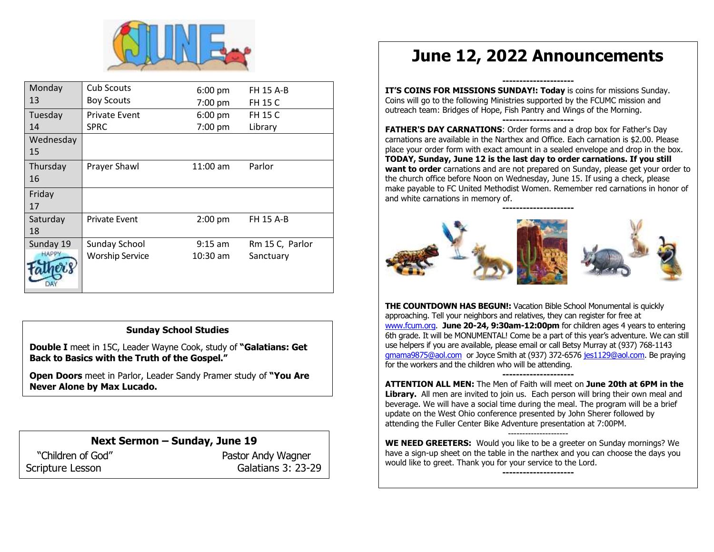

| Monday       | Cub Scouts             | $6:00$ pm  | <b>FH 15 A-B</b> |
|--------------|------------------------|------------|------------------|
| 13           | <b>Boy Scouts</b>      | 7:00 pm    | <b>FH 15 C</b>   |
| Tuesday      | <b>Private Event</b>   | $6:00$ pm  | <b>FH 15 C</b>   |
| 14           | <b>SPRC</b>            | 7:00 pm    | Library          |
| Wednesday    |                        |            |                  |
| 15           |                        |            |                  |
| Thursday     | Prayer Shawl           | $11:00$ am | Parlor           |
| 16           |                        |            |                  |
| Friday       |                        |            |                  |
| 17           |                        |            |                  |
| Saturday     | <b>Private Event</b>   | $2:00$ pm  | <b>FH 15 A-B</b> |
| 18           |                        |            |                  |
| Sunday 19    | Sunday School          | $9:15$ am  | Rm 15 C, Parlor  |
| <b>HAPPY</b> | <b>Worship Service</b> | $10:30$ am | Sanctuary        |
|              |                        |            |                  |
|              |                        |            |                  |

### **Sunday School Studies**

**Double I** meet in 15C, Leader Wayne Cook, study of **"Galatians: Get Back to Basics with the Truth of the Gospel."**

**Open Doors** meet in Parlor, Leader Sandy Pramer study of **"You Are Never Alone by Max Lucado.**

**Next Sermon – Sunday, June 19** "Children of God" Pastor Andy Wagner Scripture Lesson Galatians 3: 23-29

## **June 12, 2022 Announcements**

**--------------------- IT'S COINS FOR MISSIONS SUNDAY!: Today** is coins for missions Sunday. Coins will go to the following Ministries supported by the FCUMC mission and outreach team: Bridges of Hope, Fish Pantry and Wings of the Morning. **---------------------**

**FATHER'S DAY CARNATIONS**: Order forms and a drop box for Father's Day carnations are available in the Narthex and Office. Each carnation is \$2.00. Please place your order form with exact amount in a sealed envelope and drop in the box. **TODAY, Sunday, June 12 is the last day to order carnations. If you still want to order** carnations and are not prepared on Sunday, please get your order to the church office before Noon on Wednesday, June 15. If using a check, please make payable to FC United Methodist Women. Remember red carnations in honor of and white carnations in memory of.



**THE COUNTDOWN HAS BEGUN!:** Vacation Bible School Monumental is quickly approaching. Tell your neighbors and relatives, they can register for free at [www.fcum.org.](http://www.fcum.org/) **June 20-24, 9:30am-12:00pm** for children ages 4 years to entering 6th grade. It will be MONUMENTAL! Come be a part of this year's adventure. We can still use helpers if you are available, please email or call Betsy Murray at (937) 768-1143 [gmama9875@aol.com](mailto:gmama9875@aol.com) or Joyce Smith at (937) 372-657[6 jes1129@aol.com.](mailto:jes1129@aol.com) Be praying for the workers and the children who will be attending.

**--------------------- ATTENTION ALL MEN:** The Men of Faith will meet on **June 20th at 6PM in the Library.** All men are invited to join us. Each person will bring their own meal and beverage. We will have a social time during the meal. The program will be a brief update on the West Ohio conference presented by John Sherer followed by attending the Fuller Center Bike Adventure presentation at 7:00PM.

--------------------- **WE NEED GREETERS:** Would you like to be a greeter on Sunday mornings? We have a sign-up sheet on the table in the narthex and you can choose the days you would like to greet. Thank you for your service to the Lord.

**---------------------**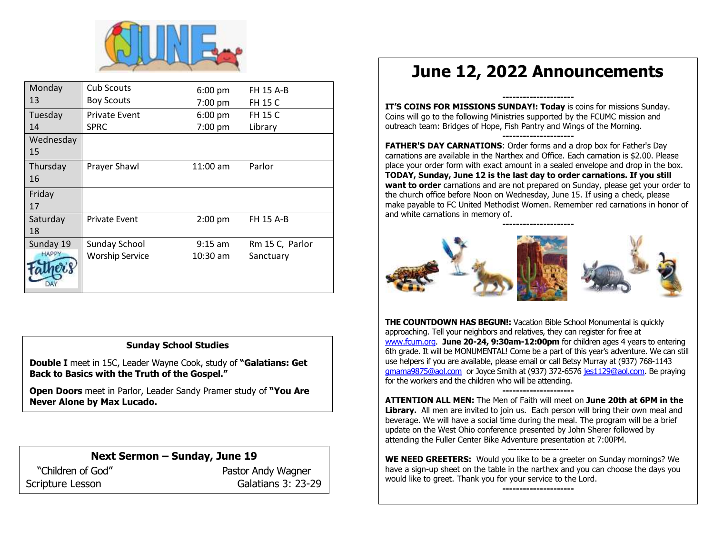

| Monday       | <b>Cub Scouts</b>      | $6:00$ pm  | <b>FH 15 A-B</b> |
|--------------|------------------------|------------|------------------|
| 13           | <b>Boy Scouts</b>      | 7:00 pm    | <b>FH 15 C</b>   |
| Tuesday      | <b>Private Event</b>   | $6:00$ pm  | <b>FH 15 C</b>   |
| 14           | <b>SPRC</b>            | 7:00 pm    | Library          |
| Wednesday    |                        |            |                  |
| 15           |                        |            |                  |
| Thursday     | Prayer Shawl           | $11:00$ am | Parlor           |
| 16           |                        |            |                  |
| Friday       |                        |            |                  |
| 17           |                        |            |                  |
| Saturday     | <b>Private Event</b>   | $2:00$ pm  | <b>FH 15 A-B</b> |
| 18           |                        |            |                  |
| Sunday 19    | Sunday School          | $9:15$ am  | Rm 15 C, Parlor  |
| <b>HAPPY</b> | <b>Worship Service</b> | $10:30$ am | Sanctuary        |
|              |                        |            |                  |
|              |                        |            |                  |
|              |                        |            |                  |

### **Sunday School Studies**

**Double I** meet in 15C, Leader Wayne Cook, study of **"Galatians: Get Back to Basics with the Truth of the Gospel."**

**Open Doors** meet in Parlor, Leader Sandy Pramer study of **"You Are Never Alone by Max Lucado.**

### **Next Sermon – Sunday, June 19**

"Children of God" Pastor Andy Wagner Scripture Lesson Galatians 3: 23-29

## **June 12, 2022 Announcements**

**--------------------- IT'S COINS FOR MISSIONS SUNDAY!: Today** is coins for missions Sunday. Coins will go to the following Ministries supported by the FCUMC mission and outreach team: Bridges of Hope, Fish Pantry and Wings of the Morning. **---------------------**

**FATHER'S DAY CARNATIONS**: Order forms and a drop box for Father's Day carnations are available in the Narthex and Office. Each carnation is \$2.00. Please place your order form with exact amount in a sealed envelope and drop in the box. **TODAY, Sunday, June 12 is the last day to order carnations. If you still want to order** carnations and are not prepared on Sunday, please get your order to the church office before Noon on Wednesday, June 15. If using a check, please make payable to FC United Methodist Women. Remember red carnations in honor of and white carnations in memory of.



**THE COUNTDOWN HAS BEGUN!:** Vacation Bible School Monumental is quickly approaching. Tell your neighbors and relatives, they can register for free at [www.fcum.org.](http://www.fcum.org/) **June 20-24, 9:30am-12:00pm** for children ages 4 years to entering 6th grade. It will be MONUMENTAL! Come be a part of this year's adventure. We can still use helpers if you are available, please email or call Betsy Murray at (937) 768-1143 [gmama9875@aol.com](mailto:gmama9875@aol.com) or Joyce Smith at (937) 372-657[6 jes1129@aol.com.](mailto:jes1129@aol.com) Be praying for the workers and the children who will be attending.

**--------------------- ATTENTION ALL MEN:** The Men of Faith will meet on **June 20th at 6PM in the Library.** All men are invited to join us. Each person will bring their own meal and beverage. We will have a social time during the meal. The program will be a brief update on the West Ohio conference presented by John Sherer followed by attending the Fuller Center Bike Adventure presentation at 7:00PM.

**WE NEED GREETERS:** Would you like to be a greeter on Sunday mornings? We have a sign-up sheet on the table in the narthex and you can choose the days you would like to greet. Thank you for your service to the Lord.

**---------------------**

---------------------